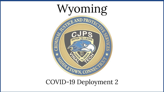

COVID-19 Deployment 2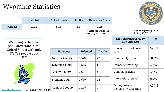## Wyoming Statistics

| Infected |                                                                                                            | <b>Probable Cases</b>  | <b>Deaths</b>         | Cases in last 7 days                      |       |               |                                                |       |
|----------|------------------------------------------------------------------------------------------------------------|------------------------|-----------------------|-------------------------------------------|-------|---------------|------------------------------------------------|-------|
| Wyoming  |                                                                                                            | 25,275                 | 3,406                 | 155                                       | 5,211 |               |                                                |       |
|          |                                                                                                            |                        |                       | *State reporting as of<br>9:43 11/19/2020 |       |               | * State reporting as of<br>9:14 11/18/2020     |       |
|          | Wyoming is the least<br>populated state in the<br>United States with only<br>578,789 people as of<br>2019. |                        |                       |                                           |       |               | Lab Confirmed Cases by<br><b>Risk Exposure</b> | %     |
|          |                                                                                                            |                        | Hot spots             | Infected                                  |       | <b>Deaths</b> | Contact with a known<br>case                   | 32.4% |
|          |                                                                                                            |                        | Natrona County        | 3,576                                     | 27    |               | <b>Community Spread</b>                        | 18.9% |
|          |                                                                                                            |                        | Laramie County        | 3,565                                     | 15    |               | Domestic traveling                             | 4.3%  |
|          |                                                                                                            |                        | <b>Albany County</b>  | 2,647                                     | 8     |               | Communal living                                | 2.0%  |
|          |                                                                                                            |                        | <b>Fremont County</b> | 2,569                                     | 22    |               | International travel                           | 0.2%  |
|          | <b>Wyoming DOH</b>                                                                                         | as of 8:35 11/18/2020* |                       | 2,265<br>Campbell county                  |       |               | Other, unknown, or<br>pending investigation    | 46.7% |

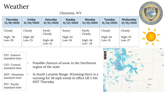### Weather

### Cheyenne, WY

| Thursday   | Friday     | <b>Saturday</b>  | Sunday     | Monday           | Tuesday    | Wednesday  | <b>CEDULETOWS</b> |
|------------|------------|------------------|------------|------------------|------------|------------|-------------------|
| 11/19/2020 | 11/20/2020 | 11/21/2020       | 11/22/2020 | 11/23/2020       | 11/24/2020 | 11/25/2020 |                   |
| Cloudy     | Cloudy     | Partly<br>Cloudy | Sunny      | Partly<br>Cloudy | Cloudy     | Cloudy     |                   |
| High $-56$ | $High-40$  | $High-46$        | $High-42$  | $High-54$        | High-44    | $High-55$  | $\blacktriangle$  |
| $Low-29$   | Low-25     | $Low-21$         | $Low-24$   | Low- $28$        | $Low-31$   | $Low-27$   |                   |

EST- Eastern standard time

- CST- Central standard time
- [MST- Mountain](https://docs.google.com/document/d/1nMdqE-WQJDmEBWAcBYAKCrNVgGb9vv251sYtiwSNCH4/edit) [standard time](https://docs.google.com/document/d/1nMdqE-WQJDmEBWAcBYAKCrNVgGb9vv251sYtiwSNCH4/edit)

PST- Pacific standard time

- Possible chances of snow in the Northwest region of the state
- In South Laramie Range, Wyoming there is a warning for 58 mph winds in effect till 5 AM MST Thursday

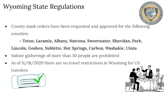## Wyoming State Regulations

County mask orders have been requested and approved for the following [counties:](https://health.wyo.gov/publichealth/infectious-disease-epidemiology-unit/disease/novel-coronavirus/covid-19-orders-and-guidance/)

**[- Teton, Laramie, Albany, Natrona, Sweetwater, Sheridan, Park,](https://health.wyo.gov/publichealth/infectious-disease-epidemiology-unit/disease/novel-coronavirus/covid-19-orders-and-guidance/)  [Lincoln, Goshen, Sublette, Hot Springs, Carbon, Washakie, Uinta](https://health.wyo.gov/publichealth/infectious-disease-epidemiology-unit/disease/novel-coronavirus/covid-19-orders-and-guidance/)**

- [Indoor gatherings of more than 50 people are prohibited](https://drive.google.com/file/d/1cc-6yKjuzWqfOA2ICQBXyBjawxbrFm9Y/view)
- As of 11/18/2020 there are no travel restrictions in Wyoming for US [travelers](https://health.wyo.gov/publichealth/infectious-disease-epidemiology-unit/disease/novel-coronavirus/covid-19-orders-and-guidance/)

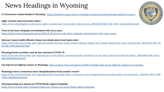# News Headings in Wyoming

**11 Coronavirus related deaths in Wyoming -** <https://health.wyo.gov/eleven-wyoming-coronavirus-related-deaths-added-to-count/>

**Eight counties seek local mask orders-**

[https://www.wyomingnews.com/news/eight-counties-seek-local-mask-orders/article\\_800e6569-5b22-5f5c-965c-e3ae4eeb39aa.html](https://www.wyomingnews.com/news/eight-counties-seek-local-mask-orders/article_800e6569-5b22-5f5c-965c-e3ae4eeb39aa.html)

**Tired to the bone: Hospitals overwhelmed with virus cases**<https://oilcity.news/associated-press/2020/11/18/tired-to-the-bone-hospitals-overwhelmed-with-virus-cases/>

#### **Natrona County health officials release new details about local mask order-**

[https://trib.com/news/state-and-regional/health/natrona-county-health-officials-release-new-details-about-local-mask-order/article\\_de822103-1093-55](https://trib.com/news/state-and-regional/health/natrona-county-health-officials-release-new-details-about-local-mask-order/article_de822103-1093-55df-814e-394bc6ada436.html) [df-814e-394bc6ada436.html](https://trib.com/news/state-and-regional/health/natrona-county-health-officials-release-new-details-about-local-mask-order/article_de822103-1093-55df-814e-394bc6ada436.html)

#### **Wyoming Senate president says he has contracted COVID-19-**

[https://trib.com/news/state-and-regional/govt-and-politics/wyoming-senate-president-says-he-has-contracted-covid-19/article\\_00b5eab6-8f38-507c-a](https://trib.com/news/state-and-regional/govt-and-politics/wyoming-senate-president-says-he-has-contracted-covid-19/article_00b5eab6-8f38-507c-aa6d-a094fa904e24.html) [a6d-a094fa904e24.html](https://trib.com/news/state-and-regional/govt-and-politics/wyoming-senate-president-says-he-has-contracted-covid-19/article_00b5eab6-8f38-507c-aa6d-a094fa904e24.html)

**Gas leak forces highway closure in Wyoming-** <https://oilcity.news/emergency/2020/11/18/gas-leak-forces-highway-closure-in-wyoming/>

#### **Wyoming's latest coronavirus news: Hospitalizations break another record-**

[https://trib.com/news/state-and-regional/health/wyomings-latest-coronavirus-news-hospitalizations-break-another-record/article\\_120a176e-9433-5306](https://trib.com/news/state-and-regional/health/wyomings-latest-coronavirus-news-hospitalizations-break-another-record/article_120a176e-9433-5306-858a-265a1d3eab7d.html) [-858a-265a1d3eab7d.html](https://trib.com/news/state-and-regional/health/wyomings-latest-coronavirus-news-hospitalizations-break-another-record/article_120a176e-9433-5306-858a-265a1d3eab7d.html)

**[Wyoming losing care options as COVID floods region's hospitals](https://www.wyofile.com/wyoming-losing-care-options-as-covid-floods-regions-hospitals/)**[https://www.wyofile.com/wyoming-losing-care-options-as-covid-floods-regions-hospitals](https://www.wyofile.com/wyoming-losing-care-options-as-covid-floods-regions-hospitals/)